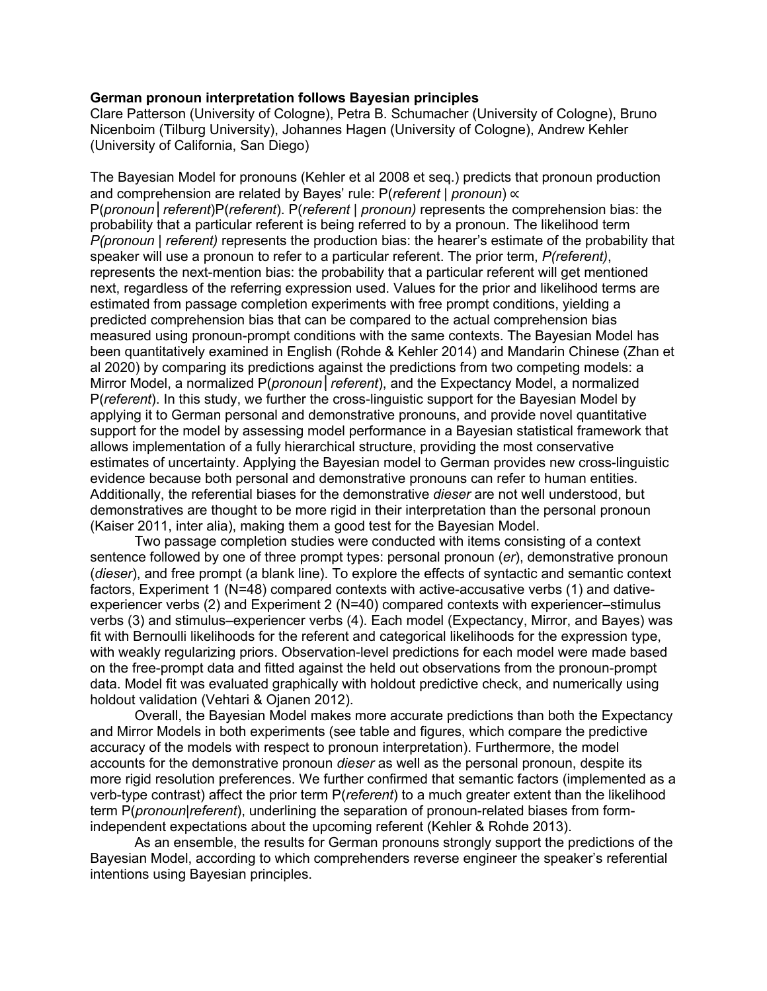## **German pronoun interpretation follows Bayesian principles**

Clare Patterson (University of Cologne), Petra B. Schumacher (University of Cologne), Bruno Nicenboim (Tilburg University), Johannes Hagen (University of Cologne), Andrew Kehler (University of California, San Diego)

The Bayesian Model for pronouns (Kehler et al 2008 et seq.) predicts that pronoun production and comprehension are related by Bayes' rule: P(*referent* | *pronoun*) ∝ P(*pronoun*│*referent*)P(*referent*). P(*referent | pronoun)* represents the comprehension bias: the probability that a particular referent is being referred to by a pronoun. The likelihood term *P(pronoun | referent)* represents the production bias: the hearer's estimate of the probability that speaker will use a pronoun to refer to a particular referent. The prior term, *P(referent)*, represents the next-mention bias: the probability that a particular referent will get mentioned next, regardless of the referring expression used. Values for the prior and likelihood terms are estimated from passage completion experiments with free prompt conditions, yielding a predicted comprehension bias that can be compared to the actual comprehension bias measured using pronoun-prompt conditions with the same contexts. The Bayesian Model has been quantitatively examined in English (Rohde & Kehler 2014) and Mandarin Chinese (Zhan et al 2020) by comparing its predictions against the predictions from two competing models: a Mirror Model, a normalized P(*pronoun*│*referent*), and the Expectancy Model, a normalized P(*referent*). In this study, we further the cross-linguistic support for the Bayesian Model by applying it to German personal and demonstrative pronouns, and provide novel quantitative support for the model by assessing model performance in a Bayesian statistical framework that allows implementation of a fully hierarchical structure, providing the most conservative estimates of uncertainty. Applying the Bayesian model to German provides new cross-linguistic evidence because both personal and demonstrative pronouns can refer to human entities. Additionally, the referential biases for the demonstrative *dieser* are not well understood, but demonstratives are thought to be more rigid in their interpretation than the personal pronoun (Kaiser 2011, inter alia), making them a good test for the Bayesian Model.

Two passage completion studies were conducted with items consisting of a context sentence followed by one of three prompt types: personal pronoun (*er*), demonstrative pronoun (*dieser*), and free prompt (a blank line). To explore the effects of syntactic and semantic context factors, Experiment 1 (N=48) compared contexts with active-accusative verbs (1) and dativeexperiencer verbs (2) and Experiment 2 (N=40) compared contexts with experiencer–stimulus verbs (3) and stimulus–experiencer verbs (4). Each model (Expectancy, Mirror, and Bayes) was fit with Bernoulli likelihoods for the referent and categorical likelihoods for the expression type, with weakly regularizing priors. Observation-level predictions for each model were made based on the free-prompt data and fitted against the held out observations from the pronoun-prompt data. Model fit was evaluated graphically with holdout predictive check, and numerically using holdout validation (Vehtari & Ojanen 2012).

Overall, the Bayesian Model makes more accurate predictions than both the Expectancy and Mirror Models in both experiments (see table and figures, which compare the predictive accuracy of the models with respect to pronoun interpretation). Furthermore, the model accounts for the demonstrative pronoun *dieser* as well as the personal pronoun, despite its more rigid resolution preferences. We further confirmed that semantic factors (implemented as a verb-type contrast) affect the prior term P(*referent*) to a much greater extent than the likelihood term P(*pronoun*|*referent*), underlining the separation of pronoun-related biases from formindependent expectations about the upcoming referent (Kehler & Rohde 2013).

As an ensemble, the results for German pronouns strongly support the predictions of the Bayesian Model, according to which comprehenders reverse engineer the speaker's referential intentions using Bayesian principles.